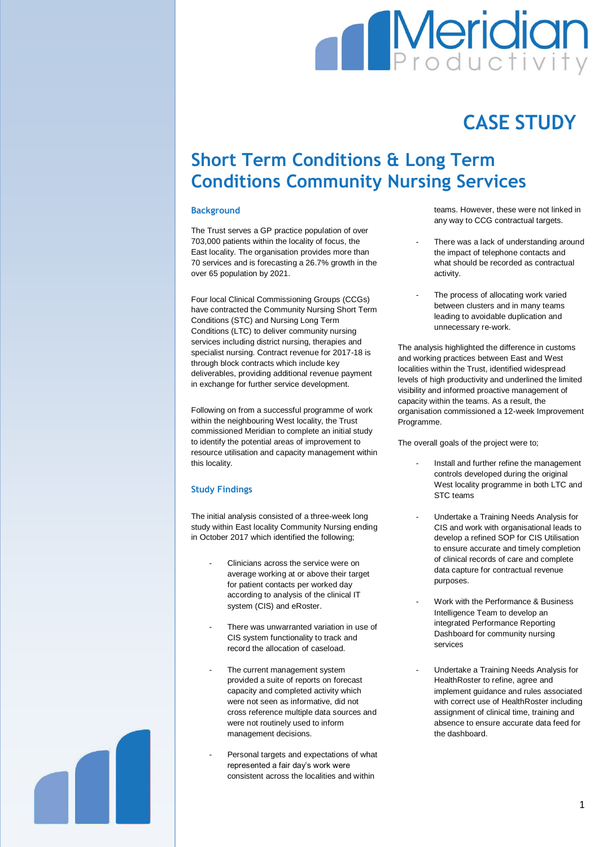# **Meridian**

## **CASE STUDY**

### **Short Term Conditions & Long Term Conditions Community Nursing Services**

#### **Background**

The Trust serves a GP practice population of over 703,000 patients within the locality of focus, the East locality. The organisation provides more than 70 services and is forecasting a 26.7% growth in the over 65 population by 2021.

Four local Clinical Commissioning Groups (CCGs) have contracted the Community Nursing Short Term Conditions (STC) and Nursing Long Term Conditions (LTC) to deliver community nursing services including district nursing, therapies and specialist nursing. Contract revenue for 2017-18 is through block contracts which include key deliverables, providing additional revenue payment in exchange for further service development.

Following on from a successful programme of work within the neighbouring West locality, the Trust commissioned Meridian to complete an initial study to identify the potential areas of improvement to resource utilisation and capacity management within this locality.

#### **Study Findings**

The initial analysis consisted of a three-week long study within East locality Community Nursing ending in October 2017 which identified the following;

- Clinicians across the service were on average working at or above their target for patient contacts per worked day according to analysis of the clinical IT system (CIS) and eRoster.
- There was unwarranted variation in use of CIS system functionality to track and record the allocation of caseload.
- The current management system provided a suite of reports on forecast capacity and completed activity which were not seen as informative, did not cross reference multiple data sources and were not routinely used to inform management decisions.
- Personal targets and expectations of what represented a fair day's work were consistent across the localities and within

teams. However, these were not linked in any way to CCG contractual targets.

- There was a lack of understanding around the impact of telephone contacts and what should be recorded as contractual activity.
- The process of allocating work varied between clusters and in many teams leading to avoidable duplication and unnecessary re-work.

The analysis highlighted the difference in customs and working practices between East and West localities within the Trust, identified widespread levels of high productivity and underlined the limited visibility and informed proactive management of capacity within the teams. As a result, the organisation commissioned a 12-week Improvement Programme.

The overall goals of the project were to;

- Install and further refine the management controls developed during the original West locality programme in both LTC and STC teams
- Undertake a Training Needs Analysis for CIS and work with organisational leads to develop a refined SOP for CIS Utilisation to ensure accurate and timely completion of clinical records of care and complete data capture for contractual revenue purposes.
- Work with the Performance & Business Intelligence Team to develop an integrated Performance Reporting Dashboard for community nursing services
- Undertake a Training Needs Analysis for HealthRoster to refine, agree and implement guidance and rules associated with correct use of HealthRoster including assignment of clinical time, training and absence to ensure accurate data feed for the dashboard.